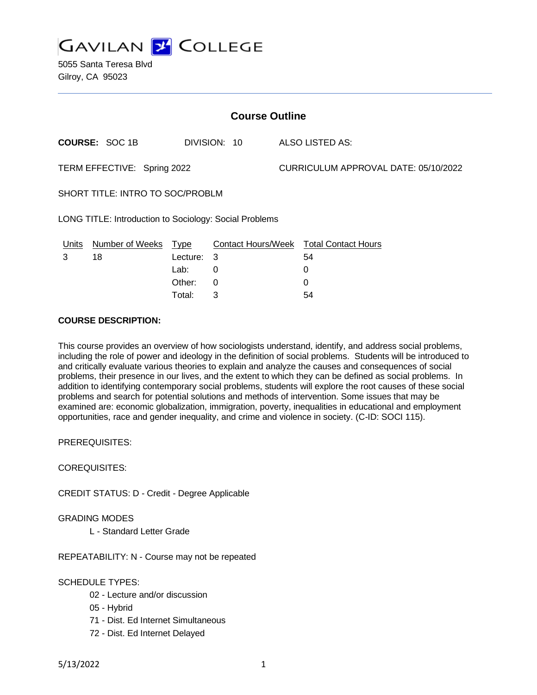

5055 Santa Teresa Blvd Gilroy, CA 95023

| <b>Course Outline</b>                                  |                       |            |              |                                      |                                               |
|--------------------------------------------------------|-----------------------|------------|--------------|--------------------------------------|-----------------------------------------------|
|                                                        | <b>COURSE: SOC 1B</b> |            | DIVISION: 10 |                                      | ALSO LISTED AS:                               |
| TERM EFFECTIVE: Spring 2022                            |                       |            |              | CURRICULUM APPROVAL DATE: 05/10/2022 |                                               |
| SHORT TITLE: INTRO TO SOC/PROBLM                       |                       |            |              |                                      |                                               |
| LONG TITLE: Introduction to Sociology: Social Problems |                       |            |              |                                      |                                               |
| Units                                                  | Number of Weeks Type  |            |              |                                      | <b>Contact Hours/Week Total Contact Hours</b> |
| 3                                                      | 18                    | Lecture: 3 |              |                                      | 54                                            |
|                                                        |                       | Lab:       | 0            |                                      | 0                                             |
|                                                        |                       | Other:     | 0            |                                      | 0                                             |
|                                                        |                       | Total:     | 3            |                                      | 54                                            |

#### **COURSE DESCRIPTION:**

This course provides an overview of how sociologists understand, identify, and address social problems, including the role of power and ideology in the definition of social problems. Students will be introduced to and critically evaluate various theories to explain and analyze the causes and consequences of social problems, their presence in our lives, and the extent to which they can be defined as social problems. In addition to identifying contemporary social problems, students will explore the root causes of these social problems and search for potential solutions and methods of intervention. Some issues that may be examined are: economic globalization, immigration, poverty, inequalities in educational and employment opportunities, race and gender inequality, and crime and violence in society. (C-ID: SOCI 115).

PREREQUISITES:

COREQUISITES:

CREDIT STATUS: D - Credit - Degree Applicable

GRADING MODES

L - Standard Letter Grade

REPEATABILITY: N - Course may not be repeated

SCHEDULE TYPES:

- 02 Lecture and/or discussion
- 05 Hybrid
- 71 Dist. Ed Internet Simultaneous
- 72 Dist. Ed Internet Delayed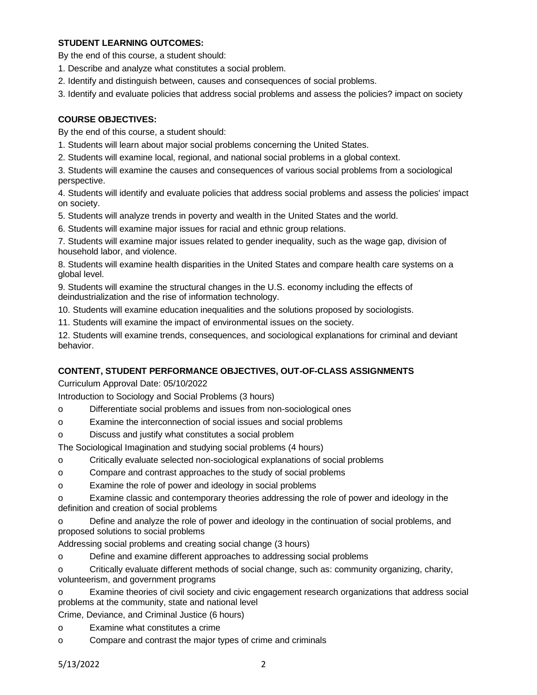### **STUDENT LEARNING OUTCOMES:**

By the end of this course, a student should:

- 1. Describe and analyze what constitutes a social problem.
- 2. Identify and distinguish between, causes and consequences of social problems.
- 3. Identify and evaluate policies that address social problems and assess the policies? impact on society

# **COURSE OBJECTIVES:**

By the end of this course, a student should:

- 1. Students will learn about major social problems concerning the United States.
- 2. Students will examine local, regional, and national social problems in a global context.

3. Students will examine the causes and consequences of various social problems from a sociological perspective.

4. Students will identify and evaluate policies that address social problems and assess the policies' impact on society.

- 5. Students will analyze trends in poverty and wealth in the United States and the world.
- 6. Students will examine major issues for racial and ethnic group relations.

7. Students will examine major issues related to gender inequality, such as the wage gap, division of household labor, and violence.

8. Students will examine health disparities in the United States and compare health care systems on a global level.

9. Students will examine the structural changes in the U.S. economy including the effects of deindustrialization and the rise of information technology.

10. Students will examine education inequalities and the solutions proposed by sociologists.

11. Students will examine the impact of environmental issues on the society.

12. Students will examine trends, consequences, and sociological explanations for criminal and deviant behavior.

# **CONTENT, STUDENT PERFORMANCE OBJECTIVES, OUT-OF-CLASS ASSIGNMENTS**

Curriculum Approval Date: 05/10/2022

Introduction to Sociology and Social Problems (3 hours)

- o Differentiate social problems and issues from non-sociological ones
- o Examine the interconnection of social issues and social problems
- o Discuss and justify what constitutes a social problem

The Sociological Imagination and studying social problems (4 hours)

- o Critically evaluate selected non-sociological explanations of social problems
- o Compare and contrast approaches to the study of social problems
- o Examine the role of power and ideology in social problems

o Examine classic and contemporary theories addressing the role of power and ideology in the definition and creation of social problems

o Define and analyze the role of power and ideology in the continuation of social problems, and proposed solutions to social problems

Addressing social problems and creating social change (3 hours)

o Define and examine different approaches to addressing social problems

o Critically evaluate different methods of social change, such as: community organizing, charity, volunteerism, and government programs

o Examine theories of civil society and civic engagement research organizations that address social problems at the community, state and national level

Crime, Deviance, and Criminal Justice (6 hours)

- o Examine what constitutes a crime
- o Compare and contrast the major types of crime and criminals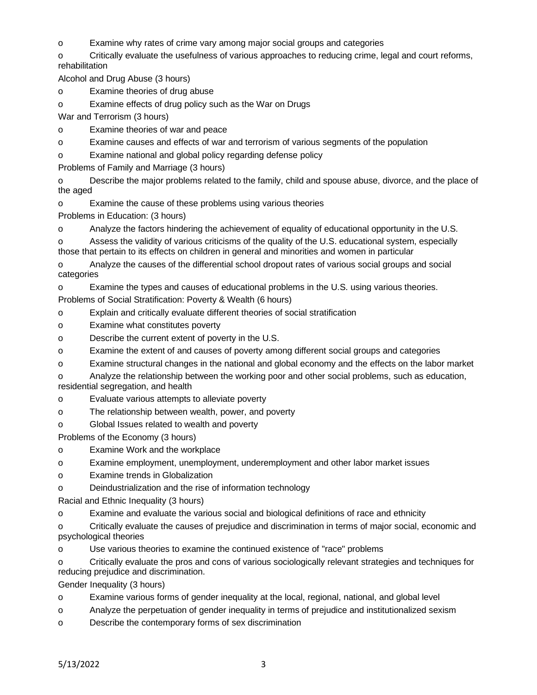o Examine why rates of crime vary among major social groups and categories

o Critically evaluate the usefulness of various approaches to reducing crime, legal and court reforms, rehabilitation

Alcohol and Drug Abuse (3 hours)

o Examine theories of drug abuse

o Examine effects of drug policy such as the War on Drugs

War and Terrorism (3 hours)

o Examine theories of war and peace

o Examine causes and effects of war and terrorism of various segments of the population

o Examine national and global policy regarding defense policy

Problems of Family and Marriage (3 hours)

o Describe the major problems related to the family, child and spouse abuse, divorce, and the place of the aged

o Examine the cause of these problems using various theories

Problems in Education: (3 hours)

o Analyze the factors hindering the achievement of equality of educational opportunity in the U.S.

o Assess the validity of various criticisms of the quality of the U.S. educational system, especially those that pertain to its effects on children in general and minorities and women in particular

o Analyze the causes of the differential school dropout rates of various social groups and social categories

o Examine the types and causes of educational problems in the U.S. using various theories. Problems of Social Stratification: Poverty & Wealth (6 hours)

o Explain and critically evaluate different theories of social stratification

- o Examine what constitutes poverty
- o Describe the current extent of poverty in the U.S.

o Examine the extent of and causes of poverty among different social groups and categories

o Examine structural changes in the national and global economy and the effects on the labor market

o Analyze the relationship between the working poor and other social problems, such as education, residential segregation, and health

- o Evaluate various attempts to alleviate poverty
- o The relationship between wealth, power, and poverty
- o Global Issues related to wealth and poverty

Problems of the Economy (3 hours)

o Examine Work and the workplace

o Examine employment, unemployment, underemployment and other labor market issues

o Examine trends in Globalization

o Deindustrialization and the rise of information technology

Racial and Ethnic Inequality (3 hours)

o Examine and evaluate the various social and biological definitions of race and ethnicity

o Critically evaluate the causes of prejudice and discrimination in terms of major social, economic and psychological theories

o Use various theories to examine the continued existence of "race" problems

o Critically evaluate the pros and cons of various sociologically relevant strategies and techniques for reducing prejudice and discrimination.

Gender Inequality (3 hours)

o Examine various forms of gender inequality at the local, regional, national, and global level

o Analyze the perpetuation of gender inequality in terms of prejudice and institutionalized sexism

o Describe the contemporary forms of sex discrimination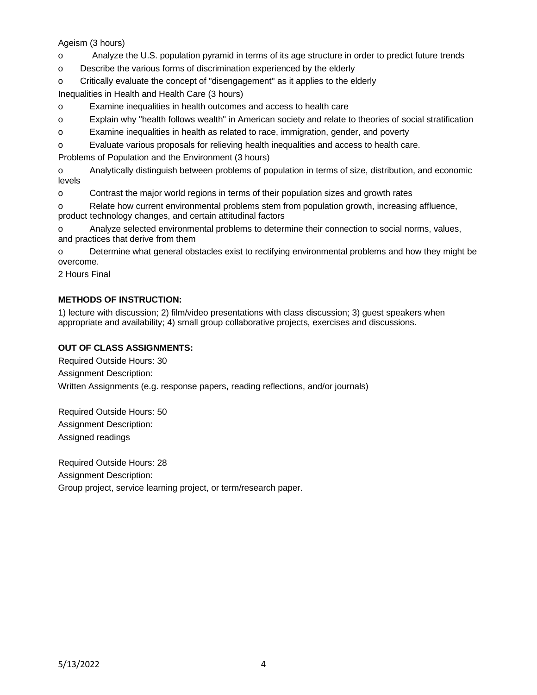### Ageism (3 hours)

o Analyze the U.S. population pyramid in terms of its age structure in order to predict future trends

o Describe the various forms of discrimination experienced by the elderly

o Critically evaluate the concept of "disengagement" as it applies to the elderly

Inequalities in Health and Health Care (3 hours)

o Examine inequalities in health outcomes and access to health care

o Explain why "health follows wealth" in American society and relate to theories of social stratification

o Examine inequalities in health as related to race, immigration, gender, and poverty

o Evaluate various proposals for relieving health inequalities and access to health care.

Problems of Population and the Environment (3 hours)

o Analytically distinguish between problems of population in terms of size, distribution, and economic levels

o Contrast the major world regions in terms of their population sizes and growth rates

o Relate how current environmental problems stem from population growth, increasing affluence, product technology changes, and certain attitudinal factors

o Analyze selected environmental problems to determine their connection to social norms, values, and practices that derive from them

o Determine what general obstacles exist to rectifying environmental problems and how they might be overcome.

2 Hours Final

# **METHODS OF INSTRUCTION:**

1) lecture with discussion; 2) film/video presentations with class discussion; 3) guest speakers when appropriate and availability; 4) small group collaborative projects, exercises and discussions.

### **OUT OF CLASS ASSIGNMENTS:**

Required Outside Hours: 30 Assignment Description: Written Assignments (e.g. response papers, reading reflections, and/or journals)

Required Outside Hours: 50 Assignment Description: Assigned readings

Required Outside Hours: 28 Assignment Description: Group project, service learning project, or term/research paper.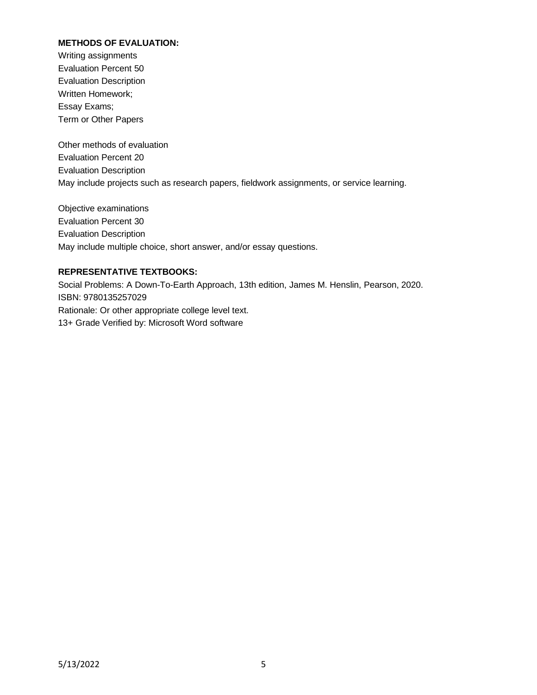## **METHODS OF EVALUATION:**

Writing assignments Evaluation Percent 50 Evaluation Description Written Homework; Essay Exams; Term or Other Papers

Other methods of evaluation Evaluation Percent 20 Evaluation Description May include projects such as research papers, fieldwork assignments, or service learning.

Objective examinations Evaluation Percent 30 Evaluation Description May include multiple choice, short answer, and/or essay questions.

### **REPRESENTATIVE TEXTBOOKS:**

Social Problems: A Down-To-Earth Approach, 13th edition, James M. Henslin, Pearson, 2020. ISBN: 9780135257029 Rationale: Or other appropriate college level text. 13+ Grade Verified by: Microsoft Word software